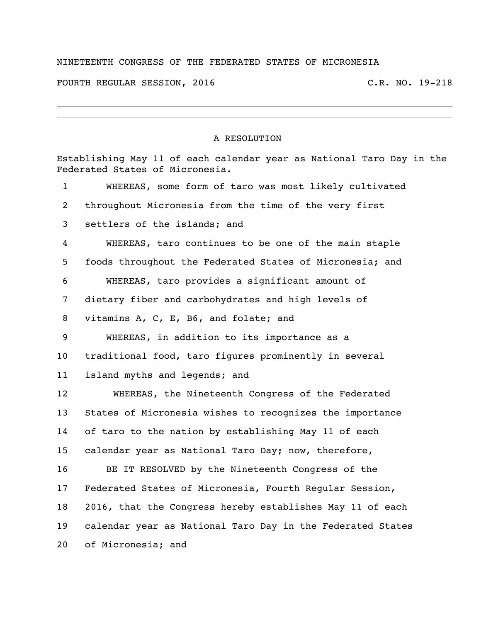## NINETEENTH CONGRESS OF THE FEDERATED STATES OF MICRONESIA

FOURTH REGULAR SESSION, 2016 C.R. NO. 19-218

## A RESOLUTION

|                | Establishing May 11 of each calendar year as National Taro Day in the<br>Federated States of Micronesia. |  |  |
|----------------|----------------------------------------------------------------------------------------------------------|--|--|
| $\mathbf{1}$   | WHEREAS, some form of taro was most likely cultivated                                                    |  |  |
| $\overline{2}$ | throughout Micronesia from the time of the very first                                                    |  |  |
| 3              | settlers of the islands; and                                                                             |  |  |
| 4              | WHEREAS, taro continues to be one of the main staple                                                     |  |  |
| 5              | foods throughout the Federated States of Micronesia; and                                                 |  |  |
| 6              | WHEREAS, taro provides a significant amount of                                                           |  |  |
| 7              | dietary fiber and carbohydrates and high levels of                                                       |  |  |
| 8              | vitamins A, C, E, B6, and folate; and                                                                    |  |  |
| 9              | WHEREAS, in addition to its importance as a                                                              |  |  |
| 10             | traditional food, taro figures prominently in several                                                    |  |  |
| 11             | island myths and legends; and                                                                            |  |  |
| 12             | WHEREAS, the Nineteenth Congress of the Federated                                                        |  |  |
| 13             | States of Micronesia wishes to recognizes the importance                                                 |  |  |
| 14             | of taro to the nation by establishing May 11 of each                                                     |  |  |
| 15             | calendar year as National Taro Day; now, therefore,                                                      |  |  |
| 16             | BE IT RESOLVED by the Nineteenth Congress of the                                                         |  |  |
| 17             | Federated States of Micronesia, Fourth Regular Session,                                                  |  |  |
| 18             | 2016, that the Congress hereby establishes May 11 of each                                                |  |  |
| 19             | calendar year as National Taro Day in the Federated States                                               |  |  |
| 20             | of Micronesia; and                                                                                       |  |  |